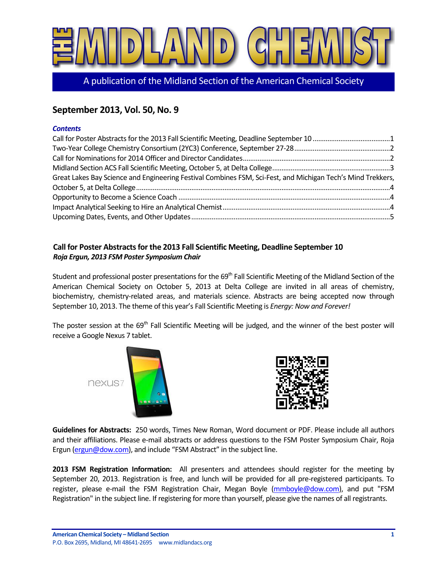

A publication of the Midland Section of the American Chemical Society

# **September 2013, Vol. 50, No. 9**

#### *Contents*

| Great Lakes Bay Science and Engineering Festival Combines FSM, Sci-Fest, and Michigan Tech's Mind Trekkers, |  |
|-------------------------------------------------------------------------------------------------------------|--|
|                                                                                                             |  |
|                                                                                                             |  |
|                                                                                                             |  |
|                                                                                                             |  |

# <span id="page-0-0"></span>**Call for Poster Abstracts for the 2013 Fall Scientific Meeting, Deadline September 10** *Roja Ergun, 2013 FSM Poster Symposium Chair*

Student and professional poster presentations for the 69<sup>th</sup> Fall Scientific Meeting of the Midland Section of the American Chemical Society on October 5, 2013 at Delta College are invited in all areas of chemistry, biochemistry, chemistry-related areas, and materials science. Abstracts are being accepted now through September 10, 2013. The theme of this year's Fall Scientific Meeting is *Energy: Now and Forever!*

The poster session at the  $69<sup>th</sup>$  Fall Scientific Meeting will be judged, and the winner of the best poster will receive a Google Nexus 7 tablet.

nexus7





**Guidelines for Abstracts:** 250 words, Times New Roman, Word document or PDF. Please include all authors and their affiliations. Please e-mail abstracts or address questions to the FSM Poster Symposium Chair, Roja Ergun [\(ergun@dow.com](mailto:ergun@dow.com)), and include "FSM Abstract" in the subject line.

**2013 FSM Registration Information:** All presenters and attendees should register for the meeting by September 20, 2013. Registration is free, and lunch will be provided for all pre-registered participants. To register, please e-mail the FSM Registration Chair, Megan Boyle [\(mmboyle@dow.com\)](mailto:mmboyle@dow.com), and put "FSM Registration" in the subject line. If registering for more than yourself, please give the names of all registrants.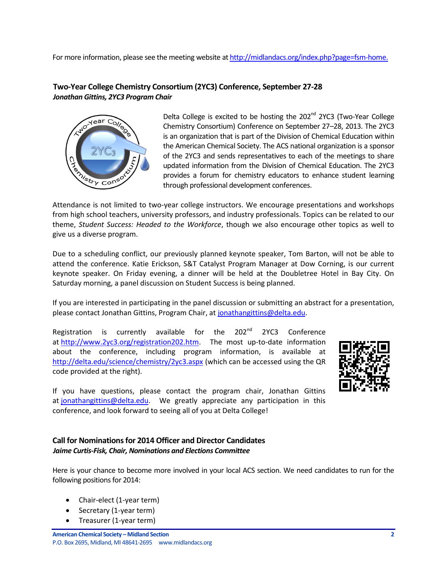For more information, please see the meeting website a[t http://midlandacs.org/index.php?page=fsm-home.](http://midlandacs.org/index.php?page=fsm-home)

## <span id="page-1-0"></span>**Two-Year College Chemistry Consortium (2YC3) Conference, September 27-28** *Jonathan Gittins, 2YC3 Program Chair*



Delta College is excited to be hosting the  $202<sup>nd</sup>$  2YC3 (Two-Year College Chemistry Consortium) Conference on September 27–28, 2013. The 2YC3 is an organization that is part of the Division of Chemical Education within the American Chemical Society. The ACS national organization is a sponsor of the 2YC3 and sends representatives to each of the meetings to share updated information from the Division of Chemical Education. The 2YC3 provides a forum for chemistry educators to enhance student learning through professional development conferences.

Attendance is not limited to two-year college instructors. We encourage presentations and workshops from high school teachers, university professors, and industry professionals. Topics can be related to our theme, *Student Success: Headed to the Workforce*, though we also encourage other topics as well to give us a diverse program.

Due to a scheduling conflict, our previously planned keynote speaker, Tom Barton, will not be able to attend the conference. Katie Erickson, S&T Catalyst Program Manager at Dow Corning, is our current keynote speaker. On Friday evening, a dinner will be held at the Doubletree Hotel in Bay City. On Saturday morning, a panel discussion on Student Success is being planned.

If you are interested in participating in the panel discussion or submitting an abstract for a presentation, please contact Jonathan Gittins, Program Chair, at [jonathangittins@delta.edu.](mailto:jonathangittins@delta.edu)

Registration is currently available for the 202<sup>nd</sup> 2YC3 Conference at [http://www.2yc3.org/registration202.htm.](http://www.2yc3.org/registration202.htm) The most up-to-date information about the conference, including program information, is available at <http://delta.edu/science/chemistry/2yc3.aspx> (which can be accessed using the QR code provided at the right).



If you have questions, please contact the program chair, Jonathan Gittins at [jonathangittins@delta.edu.](mailto:jonathangittins@delta.edu) We greatly appreciate any participation in this conference, and look forward to seeing all of you at Delta College!

### <span id="page-1-1"></span>**Call for Nominations for 2014 Officer and Director Candidates** *Jaime Curtis-Fisk, Chair, Nominations and Elections Committee*

Here is your chance to become more involved in your local ACS section. We need candidates to run for the following positions for 2014:

- Chair-elect (1-year term)
- Secretary (1-year term)
- Treasurer (1-year term)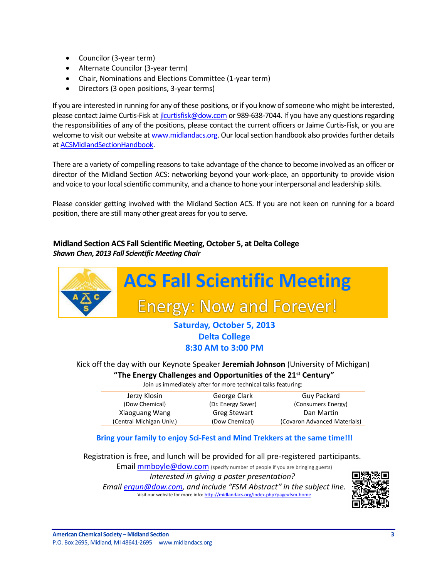- Councilor (3-year term)
- Alternate Councilor (3-year term)
- Chair, Nominations and Elections Committee (1-year term)
- Directors (3 open positions, 3-year terms)

If you are interested in running for any of these positions, or if you know of someone who might be interested, please contact Jaime Curtis-Fisk a[t jlcurtisfisk@dow.com](mailto:jlcurtisfisk@dow.com) or 989-638-7044. If you have any questions regarding the responsibilities of any of the positions, please contact the current officers or Jaime Curtis-Fisk, or you are welcome to visit our website a[t www.midlandacs.org.](http://www.midlandacs.org/) Our local section handbook also provides further details a[t ACSMidlandSectionHandbook.](http://midlandacs.org/uploads/images/administration/ACSMidlandSectionHandbook.pdf)

There are a variety of compelling reasons to take advantage of the chance to become involved as an officer or director of the Midland Section ACS: networking beyond your work-place, an opportunity to provide vision and voice to your local scientific community, and a chance to hone your interpersonal and leadership skills.

Please consider getting involved with the Midland Section ACS. If you are not keen on running for a board position, there are still many other great areas for you to serve.

# <span id="page-2-0"></span>**Midland Section ACS Fall Scientific Meeting, October 5, at Delta College** *Shawn Chen, 2013 Fall Scientific Meeting Chair*



# **Delta College 8:30 AM to 3:00 PM**

Kick off the day with our Keynote Speaker **Jeremiah Johnson** (University of Michigan) **"The Energy Challenges and Opportunities of the 21st Century"**

Join us immediately after for more technical talks featuring:

| George Clark        | Guy Packard                  |
|---------------------|------------------------------|
| (Dr. Energy Saver)  | (Consumers Energy)           |
| <b>Greg Stewart</b> | Dan Martin                   |
| (Dow Chemical)      | (Covaron Advanced Materials) |
|                     |                              |

# **Bring your family to enjoy Sci-Fest and Mind Trekkers at the same time!!!**

Registration is free, and lunch will be provided for all pre-registered participants.

Email **mmboyle@dow.com** (specify number of people if you are bringing guests)

*Interested in giving a poster presentation?* 

*Email ergun@dow.com, and include "FSM Abstract" in the subject line.* Visit our website for more info: http://midlandacs.org/index.php?page=fsm-home

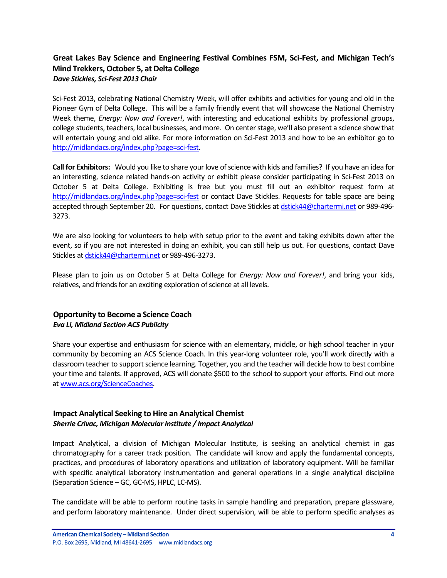## <span id="page-3-0"></span>**Great Lakes Bay Science and Engineering Festival Combines FSM, Sci-Fest, and Michigan Tech's Mind Trekkers, October 5, at Delta College** *Dave Stickles, Sci-Fest 2013 Chair*

Sci-Fest 2013, celebrating National Chemistry Week, will offer exhibits and activities for young and old in the Pioneer Gym of Delta College. This will be a family friendly event that will showcase the National Chemistry Week theme, *Energy: Now and Forever!*, with interesting and educational exhibits by professional groups, college students, teachers, local businesses, and more. On center stage, we'll also present a science show that will entertain young and old alike. For more information on Sci-Fest 2013 and how to be an exhibitor go to [http://midlandacs.org/index.php?page=sci-fest.](http://midlandacs.org/index.php?page=sci-fest)

**Call for Exhibitors:** Would you like to share your love of science with kids and families? If you have an idea for an interesting, science related hands-on activity or exhibit please consider participating in Sci-Fest 2013 on October 5 at Delta College. Exhibiting is free but you must fill out an exhibitor request form at <http://midlandacs.org/index.php?page=sci-fest> or contact Dave Stickles. Requests for table space are being accepted through September 20. For questions, contact Dave Stickles a[t dstick44@chartermi.net](mailto:dstick44@chartermi.net) or 989-496- 3273.

We are also looking for volunteers to help with setup prior to the event and taking exhibits down after the event, so if you are not interested in doing an exhibit, you can still help us out. For questions, contact Dave Stickles a[t dstick44@chartermi.net](mailto:dstick44@chartermi.net) or 989-496-3273.

Please plan to join us on October 5 at Delta College for *Energy: Now and Forever!*, and bring your kids, relatives, and friends for an exciting exploration of science at all levels.

## <span id="page-3-1"></span>**Opportunity to Become a Science Coach** *Eva Li, Midland Section ACS Publicity*

Share your expertise and enthusiasm for science with an elementary, middle, or high school teacher in your community by becoming an ACS Science Coach. In this year-long volunteer role, you'll work directly with a classroom teacher to support science learning. Together, you and the teacher will decide how to best combine your time and talents. If approved, ACS will donate \$500 to the school to support your efforts. Find out more a[t www.acs.org/ScienceCoaches.](http://www.acs.org/ScienceCoaches)

### <span id="page-3-2"></span>**Impact Analytical Seeking to Hire an Analytical Chemist** *Sherrie Crivac, Michigan Molecular Institute / Impact Analytical*

Impact Analytical, a division of Michigan Molecular Institute, is seeking an analytical chemist in gas chromatography for a career track position. The candidate will know and apply the fundamental concepts, practices, and procedures of laboratory operations and utilization of laboratory equipment. Will be familiar with specific analytical laboratory instrumentation and general operations in a single analytical discipline (Separation Science – GC, GC-MS, HPLC, LC-MS).

The candidate will be able to perform routine tasks in sample handling and preparation, prepare glassware, and perform laboratory maintenance. Under direct supervision, will be able to perform specific analyses as